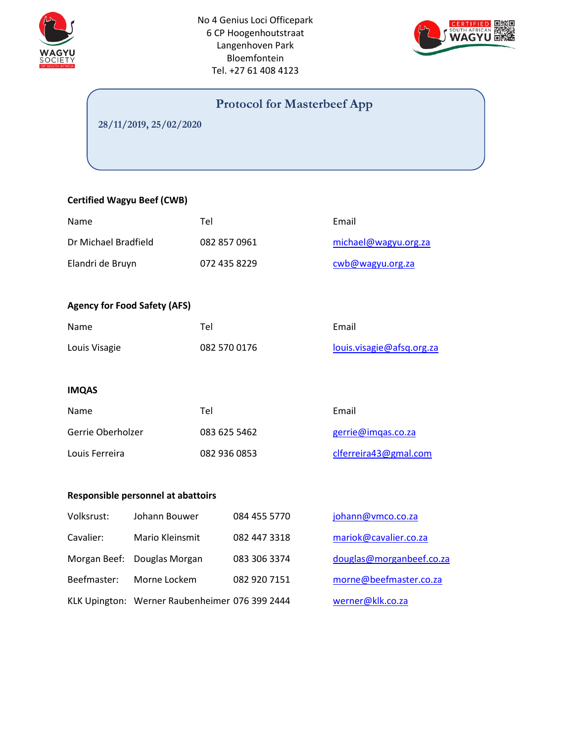



# **Protocol for Masterbeef App**

**28/11/2019, 25/02/2020**

## **Certified Wagyu Beef (CWB)**

| Name                                |                                    | Tel          |              | Email                     |  |
|-------------------------------------|------------------------------------|--------------|--------------|---------------------------|--|
| Dr Michael Bradfield                |                                    | 082 857 0961 |              | michael@wagyu.org.za      |  |
| Elandri de Bruyn                    |                                    | 072 435 8229 |              | cwb@wagyu.org.za          |  |
|                                     |                                    |              |              |                           |  |
| <b>Agency for Food Safety (AFS)</b> |                                    |              |              |                           |  |
| Name                                |                                    | Tel          |              | Email                     |  |
| Louis Visagie                       |                                    | 082 570 0176 |              | louis.visagie@afsq.org.za |  |
|                                     |                                    |              |              |                           |  |
| <b>IMQAS</b>                        |                                    |              |              |                           |  |
| Name                                |                                    | Tel          |              | Email                     |  |
| Gerrie Oberholzer                   |                                    | 083 625 5462 |              | gerrie@imqas.co.za        |  |
| Louis Ferreira                      |                                    | 082 936 0853 |              | clferreira43@gmal.com     |  |
|                                     |                                    |              |              |                           |  |
|                                     | Responsible personnel at abattoirs |              |              |                           |  |
| Volksrust:                          | Johann Bouwer                      |              | 084 455 5770 | johann@vmco.co.za         |  |
| Cavalier:                           | Mario Kleinsmit                    |              | 082 447 3318 | mariok@cavalier.co.za     |  |
| Morgan Beef:<br>Douglas Morgan      |                                    |              | 083 306 3374 | douglas@morganbeef.co.za  |  |
| Beefmaster:<br>Morne Lockem         |                                    |              | 082 920 7151 | morne@beefmaster.co.za    |  |

KLK Upington: Werner Raubenheimer 076 399 2444 [werner@klk.co.za](mailto:werner@klk.co.za)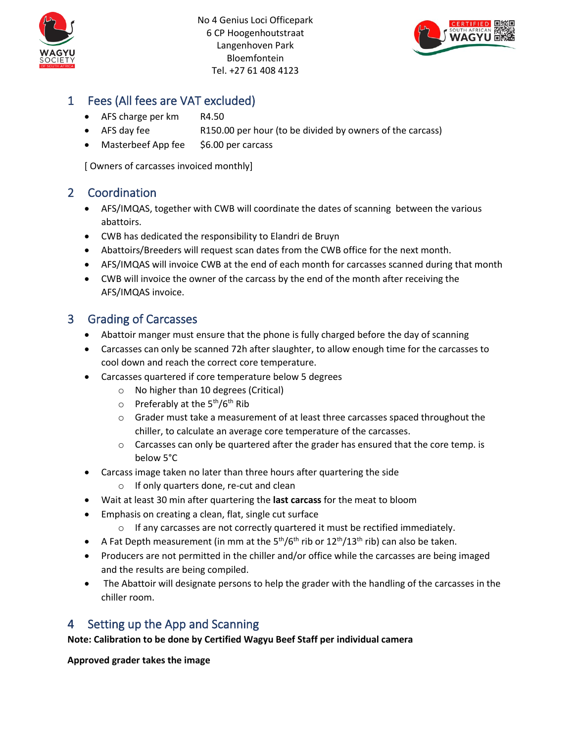



# 1 Fees (All fees are VAT excluded)

- AFS charge per km R4.50
- AFS day fee R150.00 per hour (to be divided by owners of the carcass)
- Masterbeef App fee \$6.00 per carcass

[ Owners of carcasses invoiced monthly]

## 2 Coordination

- AFS/IMQAS, together with CWB will coordinate the dates of scanning between the various abattoirs.
- CWB has dedicated the responsibility to Elandri de Bruyn
- Abattoirs/Breeders will request scan dates from the CWB office for the next month.
- AFS/IMQAS will invoice CWB at the end of each month for carcasses scanned during that month
- CWB will invoice the owner of the carcass by the end of the month after receiving the AFS/IMQAS invoice.

## 3 Grading of Carcasses

- Abattoir manger must ensure that the phone is fully charged before the day of scanning
- Carcasses can only be scanned 72h after slaughter, to allow enough time for the carcasses to cool down and reach the correct core temperature.
- Carcasses quartered if core temperature below 5 degrees
	- o No higher than 10 degrees (Critical)
	- $\circ$  Preferably at the 5<sup>th</sup>/6<sup>th</sup> Rib
	- $\circ$  Grader must take a measurement of at least three carcasses spaced throughout the chiller, to calculate an average core temperature of the carcasses.
	- $\circ$  Carcasses can only be quartered after the grader has ensured that the core temp. is below 5°C
- Carcass image taken no later than three hours after quartering the side
	- o If only quarters done, re-cut and clean
- Wait at least 30 min after quartering the **last carcass** for the meat to bloom
- Emphasis on creating a clean, flat, single cut surface
	- o If any carcasses are not correctly quartered it must be rectified immediately.
- A Fat Depth measurement (in mm at the  $5<sup>th</sup>/6<sup>th</sup>$  rib or  $12<sup>th</sup>/13<sup>th</sup>$  rib) can also be taken.
- Producers are not permitted in the chiller and/or office while the carcasses are being imaged and the results are being compiled.
- The Abattoir will designate persons to help the grader with the handling of the carcasses in the chiller room.

# 4 Setting up the App and Scanning

## **Note: Calibration to be done by Certified Wagyu Beef Staff per individual camera**

**Approved grader takes the image**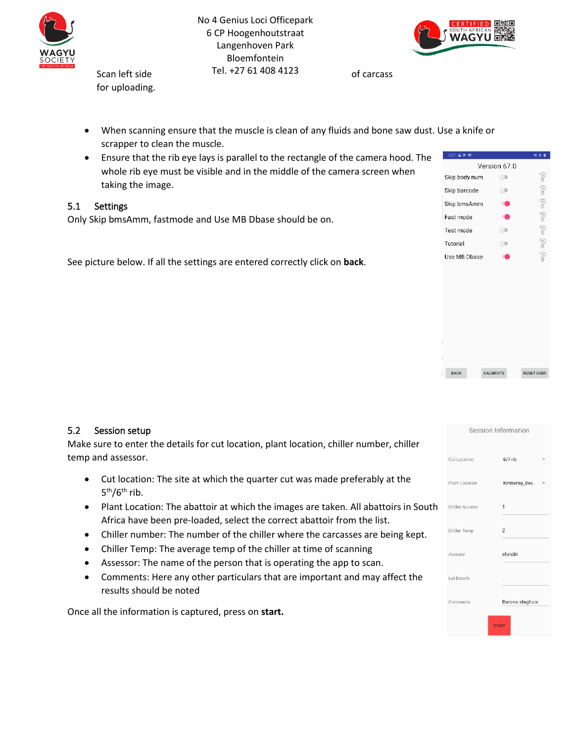



for uploading.

- When scanning ensure that the muscle is clean of any fluids and bone saw dust. Use a knife or scrapper to clean the muscle.
- Ensure that the rib eye lays is parallel to the rectangle of the camera hood. The whole rib eye must be visible and in the middle of the camera screen when taking the image.

## 5.1 Settings

Only Skip bmsAmm, fastmode and Use MB Dbase should be on.

See picture below. If all the settings are entered correctly click on **back**.

| 6:21 国<br>ь   | 引卡          |
|---------------|-------------|
| Version 67.0  |             |
| Skip body num | 2           |
| Skip barcode  | Z           |
| Skip bmsAmm   | 2           |
| Fast mode     | Z           |
| Test mode     | $\tilde{z}$ |
| Tutorial      | $\tilde{Q}$ |
| Use MB Dbase  | q           |
|               |             |
|               |             |

CALIBRATE

**RESET USER** 

#### 5.2 Session setup

Make sure to enter the details for cut location, plant location, chiller number, chiller temp and assessor.

- Cut location: The site at which the quarter cut was made preferably at the 5<sup>th</sup>/6<sup>th</sup> rib.
- Plant Location: The abattoir at which the images are taken. All abattoirs in South Africa have been pre-loaded, select the correct abattoir from the list.
- Chiller number: The number of the chiller where the carcasses are being kept.
- Chiller Temp: The average temp of the chiller at time of scanning
- Assessor: The name of the person that is operating the app to scan.
- Comments: Here any other particulars that are important and may affect the results should be noted

Once all the information is captured, press on **start.**

| Session Information |                 |  |  |  |  |  |  |
|---------------------|-----------------|--|--|--|--|--|--|
| Cut Location        | $6/7$ rib       |  |  |  |  |  |  |
| Plant Location      | Kimberley_Bee   |  |  |  |  |  |  |
| Chiller Number      | $\mathbf{1}$    |  |  |  |  |  |  |
| Chiller Temp        | $\overline{c}$  |  |  |  |  |  |  |
| Assesor             | elandri         |  |  |  |  |  |  |
| Lot Details         |                 |  |  |  |  |  |  |
| Comments            | Barons slaghuis |  |  |  |  |  |  |
| <b>START</b>        |                 |  |  |  |  |  |  |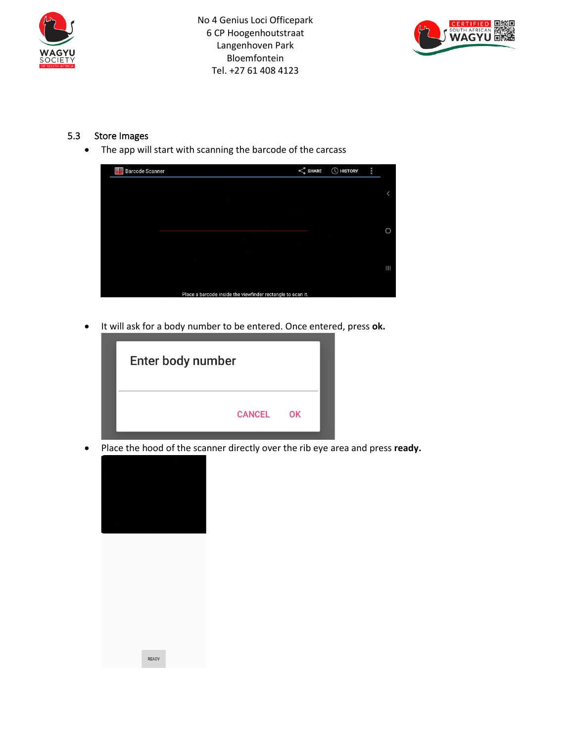



## 5.3 Store Images

• The app will start with scanning the barcode of the carcass



• It will ask for a body number to be entered. Once entered, press **ok.**



• Place the hood of the scanner directly over the rib eye area and press **ready.**



READY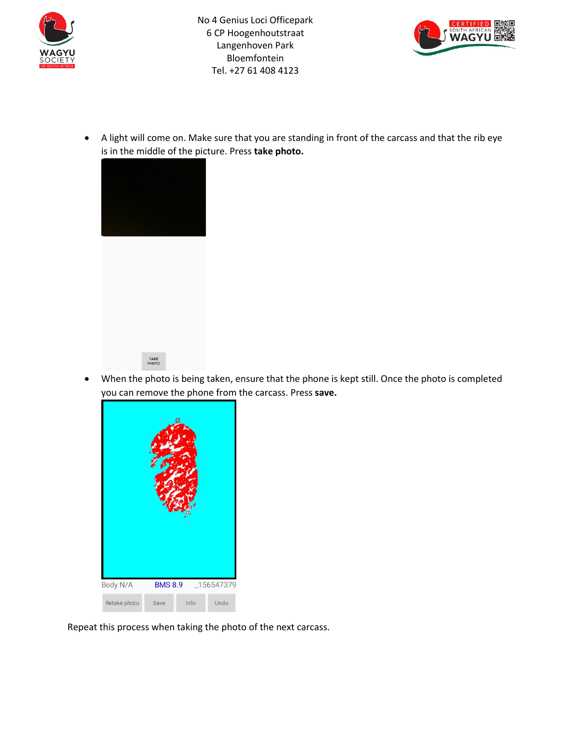



• A light will come on. Make sure that you are standing in front of the carcass and that the rib eye is in the middle of the picture. Press **take photo.**





• When the photo is being taken, ensure that the phone is kept still. Once the photo is completed you can remove the phone from the carcass. Press **save.**



Repeat this process when taking the photo of the next carcass.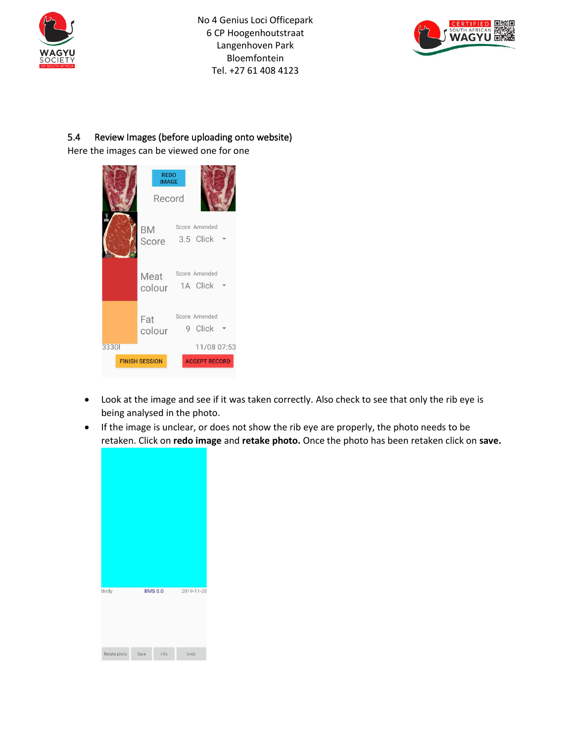



## 5.4 Review Images (before uploading onto website)

Here the images can be viewed one for one

|                 | <b>REDO</b><br><b>IMAGE</b><br>Record |                            |
|-----------------|---------------------------------------|----------------------------|
| $\frac{3}{500}$ | <b>BM</b><br>Score                    | Score Amended<br>3.5 Click |
|                 | Meat<br>colour                        | Score Amended<br>1A Click  |
|                 | Fat<br>colour                         | Score Amended<br>9 Click   |
| 33301           |                                       | 11/08 07:53                |
|                 | <b>FINISH SESSION</b>                 | <b>ACCEPT RECORD</b>       |

- Look at the image and see if it was taken correctly. Also check to see that only the rib eye is being analysed in the photo.
- If the image is unclear, or does not show the rib eye are properly, the photo needs to be retaken. Click on **redo image** and **retake photo.** Once the photo has been retaken click on **save.**

| Body         |      | <b>BMS 0.0</b> | 2019-11-28 |
|--------------|------|----------------|------------|
|              |      |                |            |
| Retake photo | Save | Info           | Undo       |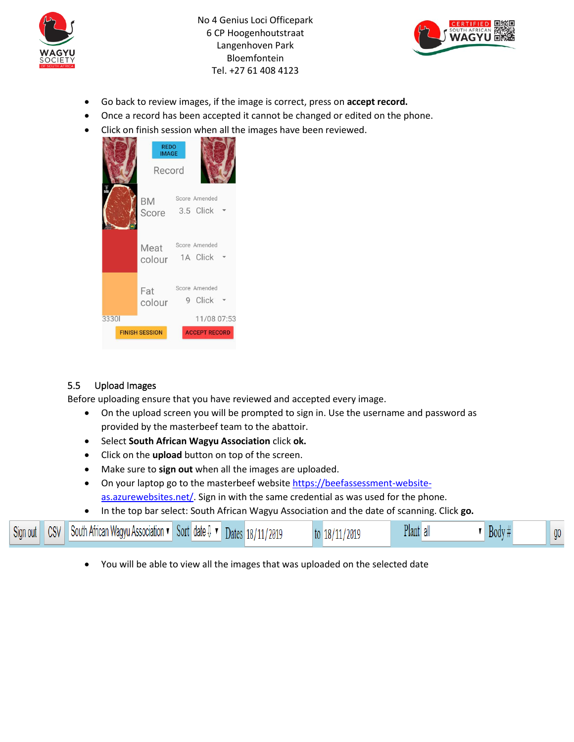



- Go back to review images, if the image is correct, press on **accept record.**
- Once a record has been accepted it cannot be changed or edited on the phone.
- Click on finish session when all the images have been reviewed.

|       | <b>REDO</b><br><b>IMAGE</b><br>Record |                                     |  |
|-------|---------------------------------------|-------------------------------------|--|
|       | <b>BM</b><br>Score                    | Score Amended<br>3.5 Click          |  |
|       | Meat<br>colour                        | Score Amended<br>1A Click           |  |
|       | Fat<br>colour                         | Score Amended<br>9 Click            |  |
| 33301 | <b>FINISH SESSION</b>                 | 11/08 07:53<br><b>ACCEPT RECORD</b> |  |

## 5.5 Upload Images

Before uploading ensure that you have reviewed and accepted every image.

- On the upload screen you will be prompted to sign in. Use the username and password as provided by the masterbeef team to the abattoir.
- Select **South African Wagyu Association** click **ok.**
- Click on the **upload** button on top of the screen.
- Make sure to **sign out** when all the images are uploaded.
- On your laptop go to the masterbeef website [https://beefassessment-website](https://beefassessment-website-as.azurewebsites.net/)[as.azurewebsites.net/.](https://beefassessment-website-as.azurewebsites.net/) Sign in with the same credential as was used for the phone.
- In the top bar select: South African Wagyu Association and the date of scanning. Click **go.**

| Sign out | CSV | South African Wagyu Association ▼ | $\sim$<br>Sort date <b>0</b> | $\blacksquare$ Dates | / 18/11/2019 | 18/<br>11/2019 | Plant all | Body: | $00\,$ |
|----------|-----|-----------------------------------|------------------------------|----------------------|--------------|----------------|-----------|-------|--------|
|----------|-----|-----------------------------------|------------------------------|----------------------|--------------|----------------|-----------|-------|--------|

• You will be able to view all the images that was uploaded on the selected date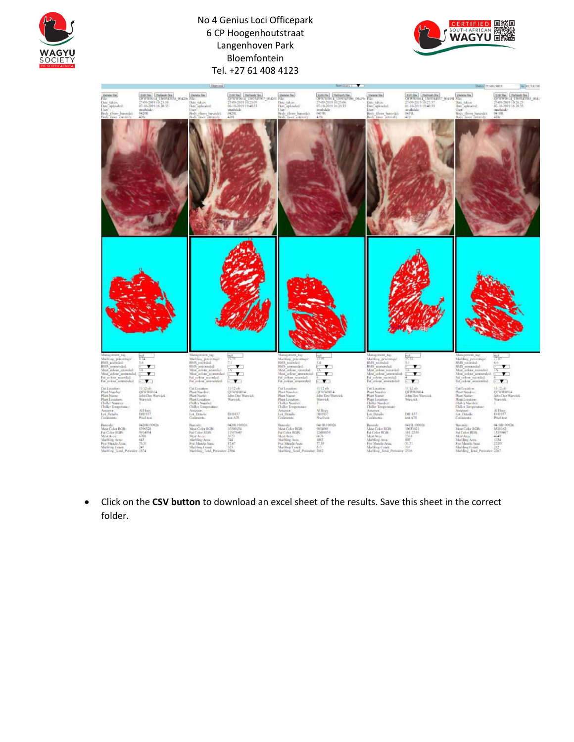





• Click on the **CSV button** to download an excel sheet of the results. Save this sheet in the correct folder.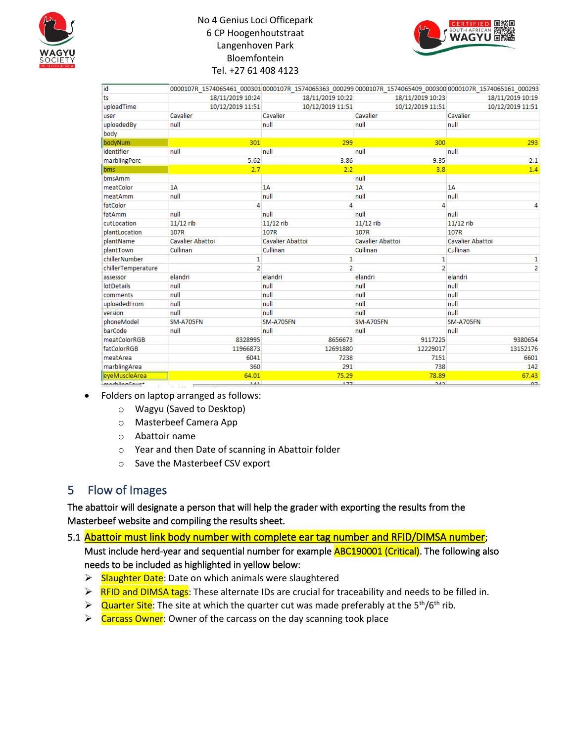



| id                  |                                                                                                                                                                                                                                         | 0000107R 1574065461 000301 0000107R 1574065363 000299 0000107R 1574065409 000300 0000107R 1574065161 000293 |                  |                  |
|---------------------|-----------------------------------------------------------------------------------------------------------------------------------------------------------------------------------------------------------------------------------------|-------------------------------------------------------------------------------------------------------------|------------------|------------------|
| ts                  | 18/11/2019 10:24                                                                                                                                                                                                                        | 18/11/2019 10:22                                                                                            | 18/11/2019 10:23 | 18/11/2019 10:19 |
| uploadTime          | 10/12/2019 11:51                                                                                                                                                                                                                        | 10/12/2019 11:51                                                                                            | 10/12/2019 11:51 | 10/12/2019 11:51 |
| user                | Cavalier                                                                                                                                                                                                                                | Cavalier                                                                                                    | Cavalier         | Cavalier         |
| uploadedBy          | null                                                                                                                                                                                                                                    | null                                                                                                        | null             | null             |
| body                |                                                                                                                                                                                                                                         |                                                                                                             |                  |                  |
| bodyNum             | 301                                                                                                                                                                                                                                     | 299                                                                                                         | 300              | 293              |
| identifier          | null                                                                                                                                                                                                                                    | null                                                                                                        | null             | null             |
| marblingPerc        | 5.62                                                                                                                                                                                                                                    | 3.86                                                                                                        | 9.35             | 2.1              |
| bms.                | 2.7                                                                                                                                                                                                                                     | 2.2                                                                                                         | 3.8              | 1.4              |
| bmsAmm              |                                                                                                                                                                                                                                         |                                                                                                             | null             |                  |
| meatColor           | 1A                                                                                                                                                                                                                                      | 1A                                                                                                          | 1A               | 1A               |
| meatAmm             | null                                                                                                                                                                                                                                    | null                                                                                                        | null             | null             |
| fatColor            | 4                                                                                                                                                                                                                                       | 4                                                                                                           | 4                |                  |
| fatAmm              | null                                                                                                                                                                                                                                    | null                                                                                                        | null             | null             |
| cutLocation         | $11/12$ rib                                                                                                                                                                                                                             | $11/12$ rib                                                                                                 | $11/12$ rib      | $11/12$ rib      |
| plantLocation       | 107R                                                                                                                                                                                                                                    | 107R                                                                                                        | 107R             | 107R             |
| plantName           | Cavalier Abattoi                                                                                                                                                                                                                        | Cavalier Abattoi                                                                                            | Cavalier Abattoi | Cavalier Abattoi |
| plantTown           | Cullinan                                                                                                                                                                                                                                | Cullinan                                                                                                    | Cullinan         | Cullinan         |
| chillerNumber       | 1                                                                                                                                                                                                                                       | 1                                                                                                           | 1                | 1                |
| chillerTemperature  | $\overline{2}$                                                                                                                                                                                                                          | $\overline{2}$                                                                                              | $\overline{2}$   | $\overline{2}$   |
| assessor            | elandri                                                                                                                                                                                                                                 | elandri                                                                                                     | elandri          | elandri          |
| <b>lotDetails</b>   | null                                                                                                                                                                                                                                    | null                                                                                                        | null             | null             |
| comments            | null                                                                                                                                                                                                                                    | null                                                                                                        | null             | null             |
| uploadedFrom        | null                                                                                                                                                                                                                                    | null                                                                                                        | null             | null             |
| version             | null                                                                                                                                                                                                                                    | null                                                                                                        | null             | null             |
| phoneModel          | <b>SM-A705FN</b>                                                                                                                                                                                                                        | <b>SM-A705FN</b>                                                                                            | <b>SM-A705FN</b> | <b>SM-A705FN</b> |
| barCode             | null                                                                                                                                                                                                                                    | null                                                                                                        | null             | null             |
| <b>meatColorRGB</b> | 8328995                                                                                                                                                                                                                                 | 8656673                                                                                                     | 9117225          | 9380654          |
| fatColorRGB         | 11966873                                                                                                                                                                                                                                | 12691880                                                                                                    | 12229017         | 13152176         |
| meatArea            | 6041                                                                                                                                                                                                                                    | 7238                                                                                                        | 7151             | 6601             |
| marblingArea        | 360                                                                                                                                                                                                                                     | 291                                                                                                         | 738              | 142              |
| eveMuscleArea       | 64.01                                                                                                                                                                                                                                   | 75.29                                                                                                       | 78.89            | 67.43            |
| marblingCount       | 1.41<br>ساس المعامل المعامل المعامل المعامل المعامل المعامل المعامل المعامل المعاملة المعاملة المعاملة المعاملة المعاملة<br>المعاملة المعاملة المعاملة المعاملة المعاملة المعاملة المعاملة المعاملة المعاملة المعاملة المعاملة المعاملة | 177                                                                                                         | 242              | 07               |

- Folders on laptop arranged as follows:
	- o Wagyu (Saved to Desktop)
	- o Masterbeef Camera App
	- o Abattoir name
	- o Year and then Date of scanning in Abattoir folder
	- o Save the Masterbeef CSV export

# 5 Flow of Images

The abattoir will designate a person that will help the grader with exporting the results from the Masterbeef website and compiling the results sheet.

5.1 Abattoir must link body number with complete ear tag number and RFID/DIMSA number;

Must include herd-year and sequential number for example **ABC190001 (Critical)**. The following also needs to be included as highlighted in yellow below:

- **►** Slaughter Date: Date on which animals were slaughtered
- $\triangleright$  RFID and DIMSA tags: These alternate IDs are crucial for traceability and needs to be filled in.
- $\triangleright$  Quarter Site: The site at which the quarter cut was made preferably at the 5<sup>th</sup>/6<sup>th</sup> rib.
- **►** Carcass Owner: Owner of the carcass on the day scanning took place